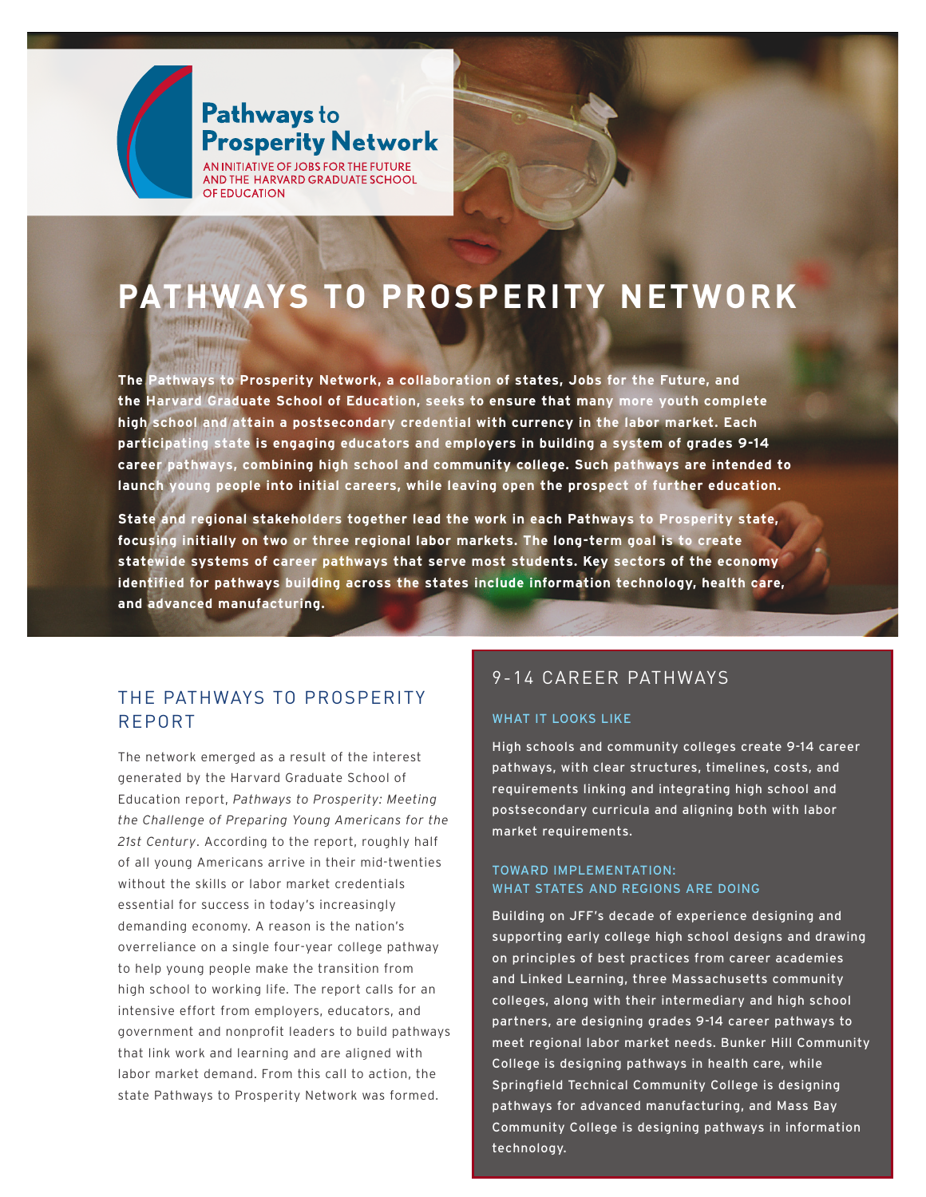

## Pathways to **Prosperity Network**

AN INITIATIVE OF JOBS FOR THE FUTURE AND THE HARVARD GRADUATE SCHOOL OF EDUCATION

# **PATHWAYS TO PROSPERITY NETWORK**

**The Pathways to Prosperity Network, a collaboration of states, Jobs for the Future, and the Harvard Graduate School of Education, seeks to ensure that many more youth complete high school and attain a postsecondary credential with currency in the labor market. Each participating state is engaging educators and employers in building a system of grades 9-14 career pathways, combining high school and community college. Such pathways are intended to launch young people into initial careers, while leaving open the prospect of further education.** 

**State and regional stakeholders together lead the work in each Pathways to Prosperity state, focusing initially on two or three regional labor markets. The long-term goal is to create statewide systems of career pathways that serve most students. Key sectors of the economy identified for pathways building across the states include information technology, health care, and advanced manufacturing.**

## THE PATHWAYS TO PROSPERITY REPORT

The network emerged as a result of the interest generated by the Harvard Graduate School of Education report, *Pathways to Prosperity: Meeting the Challenge of Preparing Young Americans for the 21st Century*. According to the report, roughly half of all young Americans arrive in their mid-twenties without the skills or labor market credentials essential for success in today's increasingly demanding economy. A reason is the nation's overreliance on a single four-year college pathway to help young people make the transition from high school to working life. The report calls for an intensive effort from employers, educators, and government and nonprofit leaders to build pathways that link work and learning and are aligned with labor market demand. From this call to action, the state Pathways to Prosperity Network was formed.

## 9-14 CAREER PATHWAYS

#### WHAT IT LOOKS LIKE

High schools and community colleges create 9-14 career pathways, with clear structures, timelines, costs, and requirements linking and integrating high school and postsecondary curricula and aligning both with labor market requirements.

#### TOWARD IMPLEMENTATION: WHAT STATES AND REGIONS ARE DOING

 $\alpha$  is comparison to prove  $\alpha$ Building on JFF's decade of experience designing and supporting early college high school designs and drawing on principles of best practices from career academies and Linked Learning, three Massachusetts community colleges, along with their intermediary and high school partners, are designing grades 9-14 career pathways to meet regional labor market needs. Bunker Hill Community College is designing pathways in health care, while Springfield Technical Community College is designing pathways for advanced manufacturing, and Mass Bay Community College is designing pathways in information technology.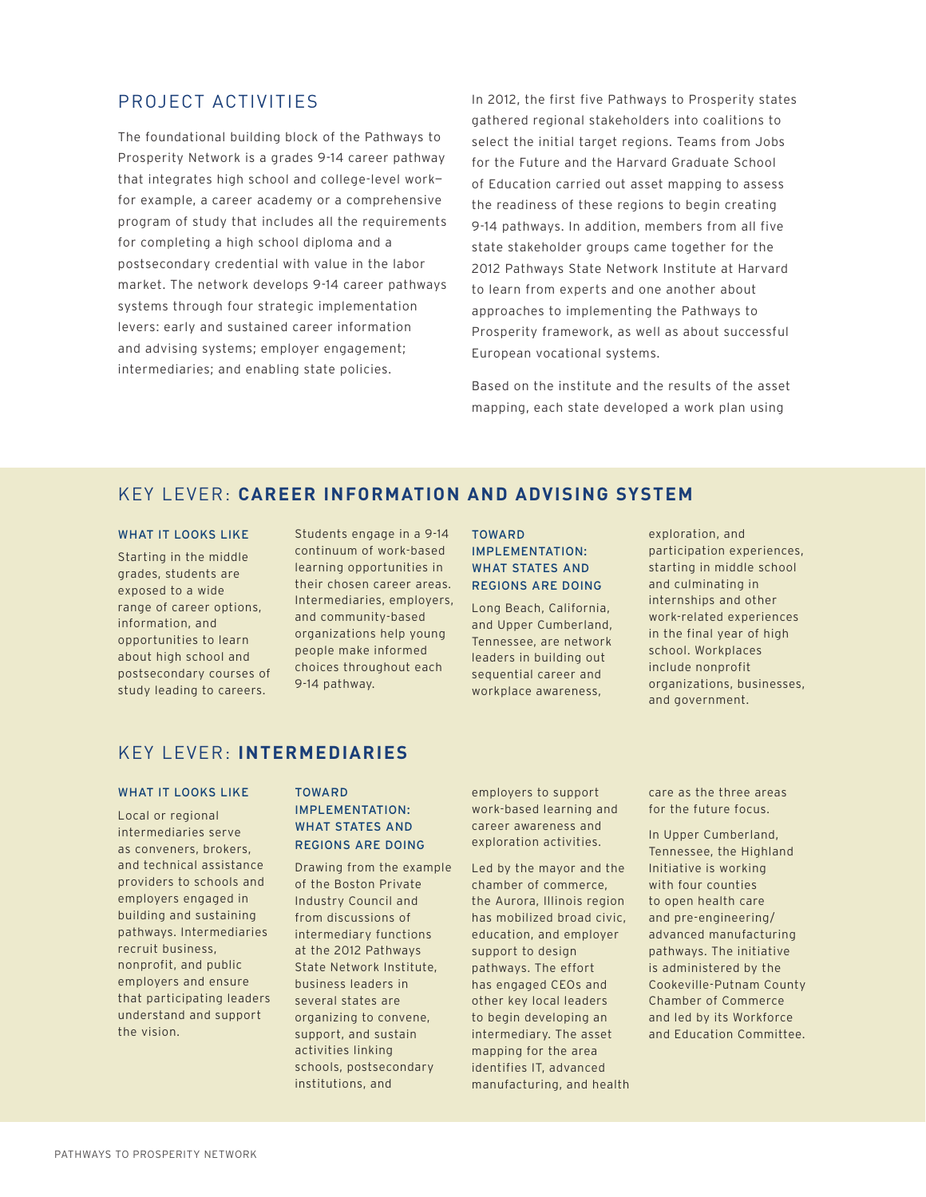## PROJECT ACTIVITIES

The foundational building block of the Pathways to Prosperity Network is a grades 9-14 career pathway that integrates high school and college-level work for example, a career academy or a comprehensive program of study that includes all the requirements for completing a high school diploma and a postsecondary credential with value in the labor market. The network develops 9-14 career pathways systems through four strategic implementation levers: early and sustained career information and advising systems; employer engagement; intermediaries; and enabling state policies.

In 2012, the first five Pathways to Prosperity states gathered regional stakeholders into coalitions to select the initial target regions. Teams from Jobs for the Future and the Harvard Graduate School of Education carried out asset mapping to assess the readiness of these regions to begin creating 9-14 pathways. In addition, members from all five state stakeholder groups came together for the 2012 Pathways State Network Institute at Harvard to learn from experts and one another about approaches to implementing the Pathways to Prosperity framework, as well as about successful European vocational systems.

Based on the institute and the results of the asset mapping, each state developed a work plan using

## KEY LEVER: **CAREER INFORMATION AND ADVISING SYSTEM**

#### WHAT IT LOOKS LIKE

Starting in the middle grades, students are exposed to a wide range of career options, information, and opportunities to learn about high school and postsecondary courses of study leading to careers.

Students engage in a 9-14 continuum of work-based learning opportunities in their chosen career areas. Intermediaries, employers, and community-based organizations help young people make informed choices throughout each 9-14 pathway.

#### TOWARD IMPLEMENTATION: WHAT STATES AND REGIONS ARE DOING

Long Beach, California, and Upper Cumberland, Tennessee, are network leaders in building out sequential career and workplace awareness,

exploration, and participation experiences, starting in middle school and culminating in internships and other work-related experiences in the final year of high school. Workplaces include nonprofit organizations, businesses, and government.

## KEY LEVER: **INTERMEDIARIES**

#### WHAT IT LOOKS LIKE

Local or regional intermediaries serve as conveners, brokers, and technical assistance providers to schools and employers engaged in building and sustaining pathways. Intermediaries recruit business, nonprofit, and public employers and ensure that participating leaders understand and support the vision.

#### TOWARD

#### IMPLEMENTATION: WHAT STATES AND REGIONS ARE DOING

Drawing from the example of the Boston Private Industry Council and from discussions of intermediary functions at the 2012 Pathways State Network Institute, business leaders in several states are organizing to convene, support, and sustain activities linking schools, postsecondary institutions, and

employers to support work-based learning and career awareness and exploration activities.

Led by the mayor and the chamber of commerce, the Aurora, Illinois region has mobilized broad civic, education, and employer support to design pathways. The effort has engaged CEOs and other key local leaders to begin developing an intermediary. The asset mapping for the area identifies IT, advanced manufacturing, and health care as the three areas for the future focus.

In Upper Cumberland, Tennessee, the Highland Initiative is working with four counties to open health care and pre-engineering/ advanced manufacturing pathways. The initiative is administered by the Cookeville-Putnam County Chamber of Commerce and led by its Workforce and Education Committee.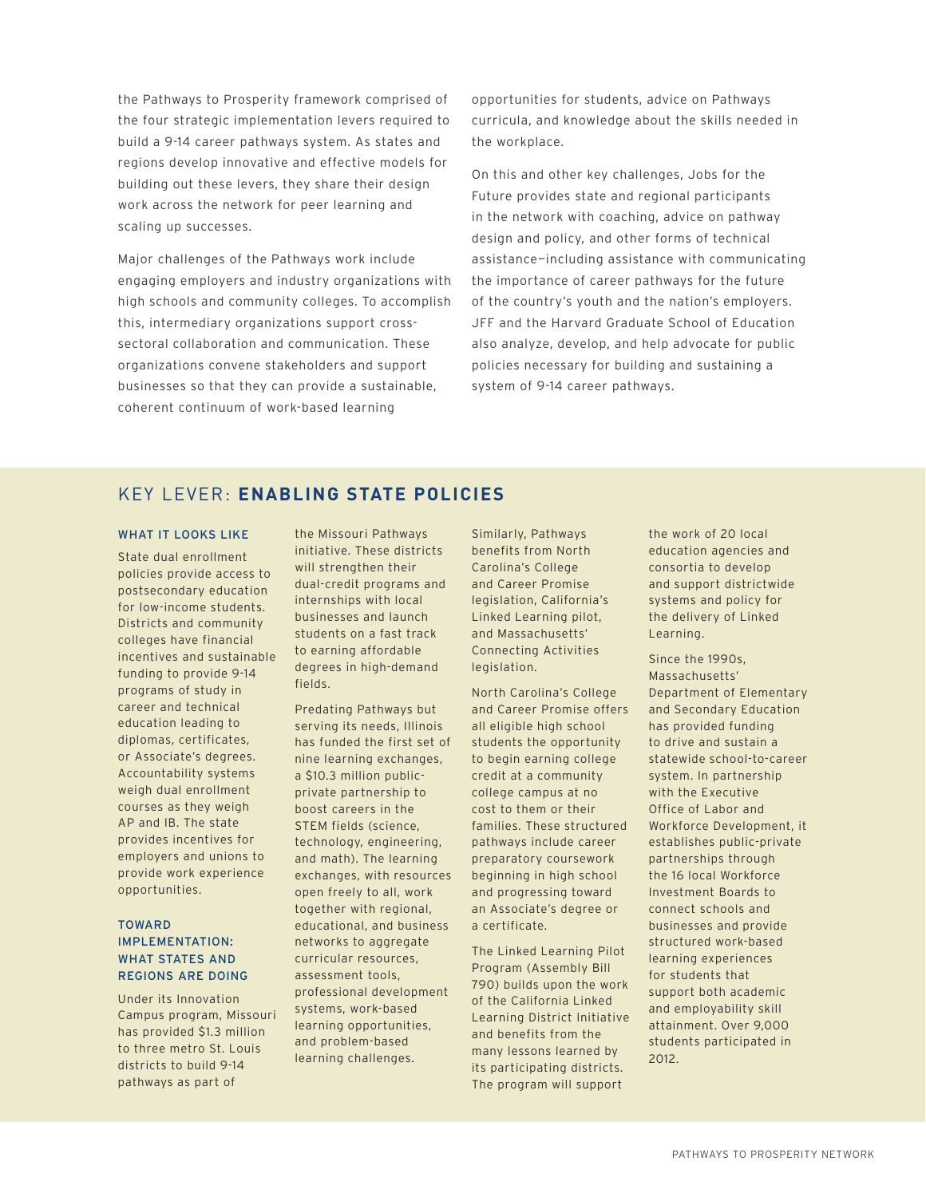the Pathways to Prosperity framework comprised of the four strategic implementation levers required to build a 9-14 career pathways system. As states and regions develop innovative and effective models for building out these levers, they share their design work across the network for peer learning and scaling up successes.

Major challenges of the Pathways work include engaging employers and industry organizations with high schools and community colleges. To accomplish this, intermediary organizations support crosssectoral collaboration and communication. These organizations convene stakeholders and support businesses so that they can provide a sustainable, coherent continuum of work-based learning

opportunities for students, advice on Pathways curricula, and knowledge about the skills needed in the workplace.

On this and other key challenges, Jobs for the Future provides state and regional participants in the network with coaching, advice on pathway design and policy, and other forms of technical assistance—including assistance with communicating the importance of career pathways for the future of the country's youth and the nation's employers. JFF and the Harvard Graduate School of Education also analyze, develop, and help advocate for public policies necessary for building and sustaining a system of 9-14 career pathways.

## KEY LEVER: **ENABLING STATE POLICIES**

#### WHAT IT LOOKS LIKE

State dual enrollment policies provide access to postsecondary education for low-income students. Districts and community colleges have financial incentives and sustainable funding to provide 9-14 programs of study in career and technical education leading to diplomas, certificates, or Associate's degrees. Accountability systems weigh dual enrollment courses as they weigh AP and IB. The state provides incentives for employers and unions to provide work experience opportunities.

#### TOWARD IMPLEMENTATION: WHAT STATES AND REGIONS ARE DOING

Under its Innovation Campus program, Missouri has provided \$1.3 million to three metro St. Louis districts to build 9-14 pathways as part of

the Missouri Pathways initiative. These districts will strengthen their dual-credit programs and internships with local businesses and launch students on a fast track to earning affordable degrees in high-demand fields.

Predating Pathways but serving its needs, Illinois has funded the first set of nine learning exchanges, a \$10.3 million publicprivate partnership to boost careers in the STEM fields (science, technology, engineering, and math). The learning exchanges, with resources open freely to all, work together with regional, educational, and business networks to aggregate curricular resources, assessment tools, professional development systems, work-based learning opportunities, and problem-based learning challenges.

Similarly, Pathways benefits from North Carolina's College and Career Promise legislation, California's Linked Learning pilot, and Massachusetts' Connecting Activities legislation.

North Carolina's College and Career Promise offers all eligible high school students the opportunity to begin earning college credit at a community college campus at no cost to them or their families. These structured pathways include career preparatory coursework beginning in high school and progressing toward an Associate's degree or a certificate.

The Linked Learning Pilot Program (Assembly Bill 790) builds upon the work of the California Linked Learning District Initiative and benefits from the many lessons learned by its participating districts. The program will support

the work of 20 local education agencies and consortia to develop and support districtwide systems and policy for the delivery of Linked Learning.

Since the 1990s, Massachusetts' Department of Elementary and Secondary Education has provided funding to drive and sustain a statewide school-to-career system. In partnership with the Executive Office of Labor and Workforce Development, it establishes public-private partnerships through the 16 local Workforce Investment Boards to connect schools and businesses and provide structured work-based learning experiences for students that support both academic and employability skill attainment. Over 9,000 students participated in 2012.